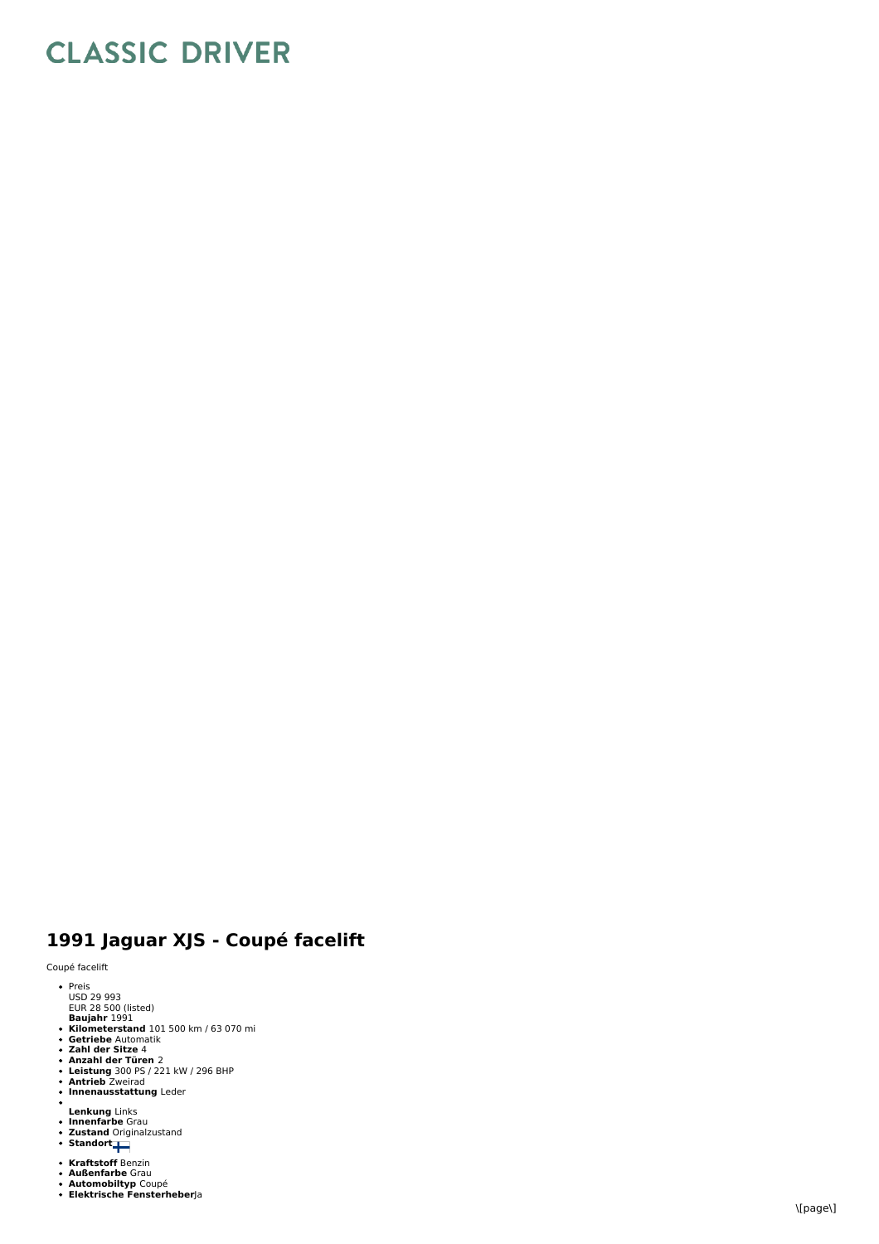## **CLASSIC DRIVER**

## 1991 Jaguar XJS - Coupé facelift

Coupé facelift

- Preis<br>USD 29 993<br>EUR 28 500 (listed)
- Baujahr 1991<br>Kilometerstand 101 500 km / 63 070 mi<br>Getriebe Automatik<br>Zahl der Sitze 4<br>Anzahl der Türen 2<br>Antrieb Zweirad<br>Antrieb Zweirad<br>Innenausstattung Leder
- 
- 
- 
- 
- 
- 
- **Lenkung** Links<br>**Innenfarbe** Grau<br>**Zustand** Originalzustand<br>**Standort**
- 
- 
- 
- 
- **Kraftstoff** Benzin<br>**Außenfarbe** Grau<br>**Automobiltyp** Coupé<br>**Elektrische Fensterheber**Ja